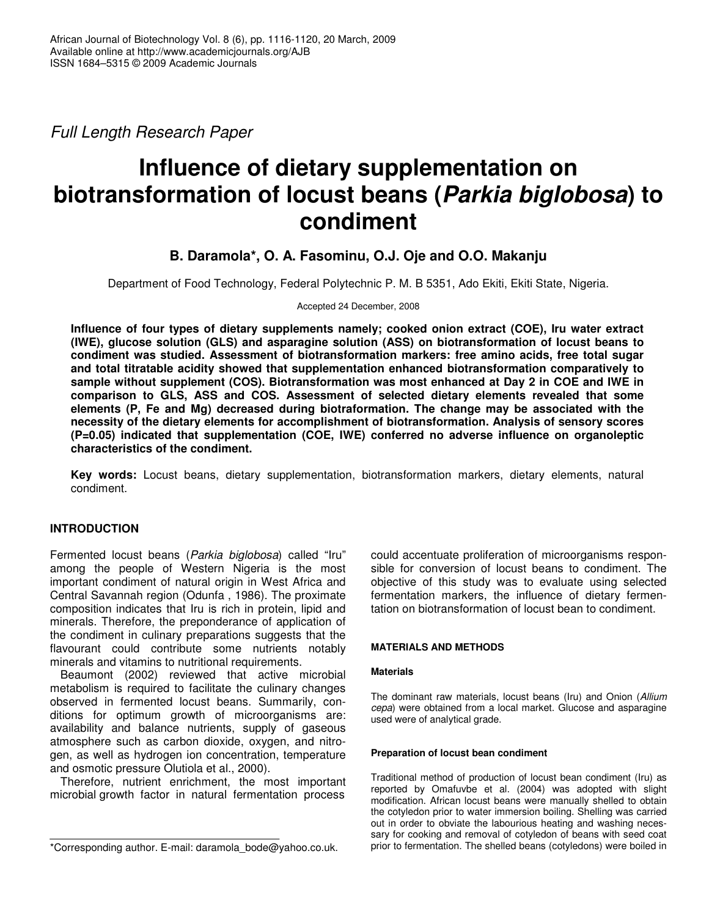*Full Length Research Paper*

# **Influence of dietary supplementation on biotransformation of locust beans (***Parkia biglobosa***) to condiment**

**B. Daramola\*, O. A. Fasominu, O.J. Oje and O.O. Makanju**

Department of Food Technology, Federal Polytechnic P. M. B 5351, Ado Ekiti, Ekiti State, Nigeria.

Accepted 24 December, 2008

**Influence of four types of dietary supplements namely; cooked onion extract (COE), Iru water extract (IWE), glucose solution (GLS) and asparagine solution (ASS) on biotransformation of locust beans to condiment was studied. Assessment of biotransformation markers: free amino acids, free total sugar and total titratable acidity showed that supplementation enhanced biotransformation comparatively to sample without supplement (COS). Biotransformation was most enhanced at Day 2 in COE and IWE in comparison to GLS, ASS and COS. Assessment of selected dietary elements revealed that some elements (P, Fe and Mg) decreased during biotraformation. The change may be associated with the necessity of the dietary elements for accomplishment of biotransformation. Analysis of sensory scores (P=0.05) indicated that supplementation (COE, IWE) conferred no adverse influence on organoleptic characteristics of the condiment.**

**Key words:** Locust beans, dietary supplementation, biotransformation markers, dietary elements, natural condiment.

# **INTRODUCTION**

Fermented locust beans (*Parkia biglobosa*) called "Iru" among the people of Western Nigeria is the most important condiment of natural origin in West Africa and Central Savannah region (Odunfa , 1986). The proximate composition indicates that Iru is rich in protein, lipid and minerals. Therefore, the preponderance of application of the condiment in culinary preparations suggests that the flavourant could contribute some nutrients notably minerals and vitamins to nutritional requirements.

Beaumont (2002) reviewed that active microbial metabolism is required to facilitate the culinary changes observed in fermented locust beans. Summarily, conditions for optimum growth of microorganisms are: availability and balance nutrients, supply of gaseous atmosphere such as carbon dioxide, oxygen, and nitrogen, as well as hydrogen ion concentration, temperature and osmotic pressure Olutiola et al., 2000).

Therefore, nutrient enrichment, the most important microbial growth factor in natural fermentation process

could accentuate proliferation of microorganisms responsible for conversion of locust beans to condiment. The objective of this study was to evaluate using selected fermentation markers, the influence of dietary fermentation on biotransformation of locust bean to condiment.

## **MATERIALS AND METHODS**

## **Materials**

The dominant raw materials, locust beans (Iru) and Onion (*Allium cepa*) were obtained from a local market. Glucose and asparagine used were of analytical grade.

## **Preparation of locust bean condiment**

Traditional method of production of locust bean condiment (Iru) as reported by Omafuvbe et al. (2004) was adopted with slight modification. African locust beans were manually shelled to obtain the cotyledon prior to water immersion boiling. Shelling was carried out in order to obviate the labourious heating and washing necessary for cooking and removal of cotyledon of beans with seed coat prior to fermentation. The shelled beans (cotyledons) were boiled in

<sup>\*</sup>Corresponding author. E-mail: daramola\_bode@yahoo.co.uk.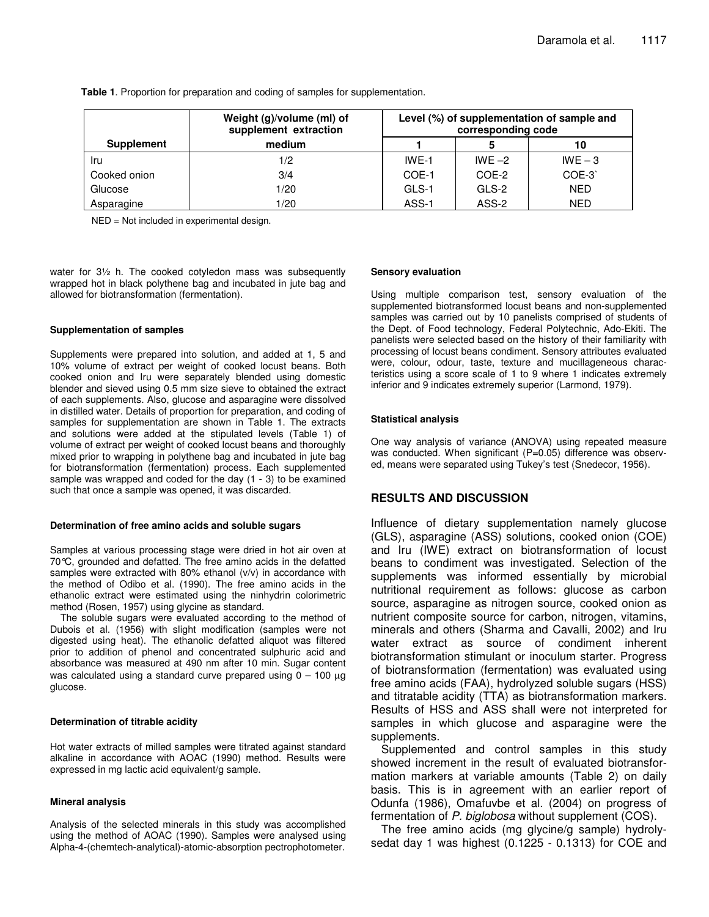|                   | Weight (g)/volume (ml) of<br>supplement extraction | Level (%) of supplementation of sample and<br>corresponding code |          |            |  |
|-------------------|----------------------------------------------------|------------------------------------------------------------------|----------|------------|--|
| <b>Supplement</b> | medium                                             |                                                                  |          | 10         |  |
| Iru               | 1/2                                                | $IWF-1$                                                          | IWF $-2$ | $IWE - 3$  |  |
| Cooked onion      | 3/4                                                | COE-1                                                            | COE-2    | COE-3      |  |
| Glucose           | 1/20                                               | GLS-1                                                            | GLS-2    | <b>NED</b> |  |
| Asparagine        | 1/20                                               | ASS-1                                                            | ASS-2    | <b>NED</b> |  |

**Table 1**. Proportion for preparation and coding of samples for supplementation.

NED = Not included in experimental design.

water for 3½ h. The cooked cotyledon mass was subsequently wrapped hot in black polythene bag and incubated in jute bag and allowed for biotransformation (fermentation).

#### **Supplementation of samples**

Supplements were prepared into solution, and added at 1, 5 and 10% volume of extract per weight of cooked locust beans. Both cooked onion and Iru were separately blended using domestic blender and sieved using 0.5 mm size sieve to obtained the extract of each supplements. Also, glucose and asparagine were dissolved in distilled water. Details of proportion for preparation, and coding of samples for supplementation are shown in Table 1. The extracts and solutions were added at the stipulated levels (Table 1) of volume of extract per weight of cooked locust beans and thoroughly mixed prior to wrapping in polythene bag and incubated in jute bag for biotransformation (fermentation) process. Each supplemented sample was wrapped and coded for the day (1 - 3) to be examined such that once a sample was opened, it was discarded.

#### **Determination of free amino acids and soluble sugars**

Samples at various processing stage were dried in hot air oven at 70°C, grounded and defatted. The free amino acids in the defatted samples were extracted with 80% ethanol (v/v) in accordance with the method of Odibo et al. (1990). The free amino acids in the ethanolic extract were estimated using the ninhydrin colorimetric method (Rosen, 1957) using glycine as standard.

The soluble sugars were evaluated according to the method of Dubois et al. (1956) with slight modification (samples were not digested using heat). The ethanolic defatted aliquot was filtered prior to addition of phenol and concentrated sulphuric acid and absorbance was measured at 490 nm after 10 min. Sugar content was calculated using a standard curve prepared using  $0 - 100 \mu g$ glucose.

## **Determination of titrable acidity**

Hot water extracts of milled samples were titrated against standard alkaline in accordance with AOAC (1990) method. Results were expressed in mg lactic acid equivalent/g sample.

#### **Mineral analysis**

Analysis of the selected minerals in this study was accomplished using the method of AOAC (1990). Samples were analysed using Alpha-4-(chemtech-analytical)-atomic-absorption pectrophotometer.

#### **Sensory evaluation**

Using multiple comparison test, sensory evaluation of the supplemented biotransformed locust beans and non-supplemented samples was carried out by 10 panelists comprised of students of the Dept. of Food technology, Federal Polytechnic, Ado-Ekiti. The panelists were selected based on the history of their familiarity with processing of locust beans condiment. Sensory attributes evaluated were, colour, odour, taste, texture and mucillageneous characteristics using a score scale of 1 to 9 where 1 indicates extremely inferior and 9 indicates extremely superior (Larmond, 1979).

#### **Statistical analysis**

One way analysis of variance (ANOVA) using repeated measure was conducted. When significant (P=0.05) difference was observed, means were separated using Tukey's test (Snedecor, 1956).

# **RESULTS AND DISCUSSION**

Influence of dietary supplementation namely glucose (GLS), asparagine (ASS) solutions, cooked onion (COE) and Iru (IWE) extract on biotransformation of locust beans to condiment was investigated. Selection of the supplements was informed essentially by microbial nutritional requirement as follows: glucose as carbon source, asparagine as nitrogen source, cooked onion as nutrient composite source for carbon, nitrogen, vitamins, minerals and others (Sharma and Cavalli, 2002) and Iru water extract as source of condiment inherent biotransformation stimulant or inoculum starter. Progress of biotransformation (fermentation) was evaluated using free amino acids (FAA), hydrolyzed soluble sugars (HSS) and titratable acidity (TTA) as biotransformation markers. Results of HSS and ASS shall were not interpreted for samples in which glucose and asparagine were the supplements.

Supplemented and control samples in this study showed increment in the result of evaluated biotransformation markers at variable amounts (Table 2) on daily basis. This is in agreement with an earlier report of Odunfa (1986), Omafuvbe et al. (2004) on progress of fermentation of *P. biglobosa* without supplement (COS).

The free amino acids (mg glycine/g sample) hydrolysedat day 1 was highest (0.1225 - 0.1313) for COE and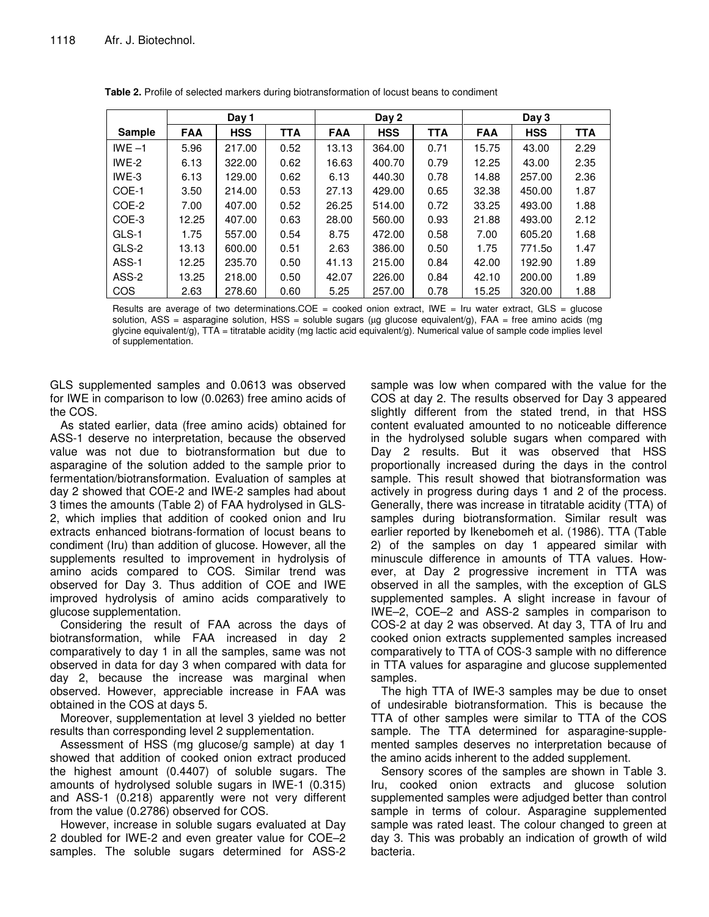|               | Day 1      |            |            | Day 2      |            |            | Day 3      |            |            |
|---------------|------------|------------|------------|------------|------------|------------|------------|------------|------------|
| <b>Sample</b> | <b>FAA</b> | <b>HSS</b> | <b>TTA</b> | <b>FAA</b> | <b>HSS</b> | <b>TTA</b> | <b>FAA</b> | <b>HSS</b> | <b>TTA</b> |
| IWE $-1$      | 5.96       | 217.00     | 0.52       | 13.13      | 364.00     | 0.71       | 15.75      | 43.00      | 2.29       |
| $IWE-2$       | 6.13       | 322.00     | 0.62       | 16.63      | 400.70     | 0.79       | 12.25      | 43.00      | 2.35       |
| $IWE-3$       | 6.13       | 129.00     | 0.62       | 6.13       | 440.30     | 0.78       | 14.88      | 257.00     | 2.36       |
| COE-1         | 3.50       | 214.00     | 0.53       | 27.13      | 429.00     | 0.65       | 32.38      | 450.00     | 1.87       |
| COE-2         | 7.00       | 407.00     | 0.52       | 26.25      | 514.00     | 0.72       | 33.25      | 493.00     | 1.88       |
| COE-3         | 12.25      | 407.00     | 0.63       | 28.00      | 560.00     | 0.93       | 21.88      | 493.00     | 2.12       |
| GLS-1         | 1.75       | 557.00     | 0.54       | 8.75       | 472.00     | 0.58       | 7.00       | 605.20     | 1.68       |
| GLS-2         | 13.13      | 600.00     | 0.51       | 2.63       | 386.00     | 0.50       | 1.75       | 771.5o     | 1.47       |
| ASS-1         | 12.25      | 235.70     | 0.50       | 41.13      | 215.00     | 0.84       | 42.00      | 192.90     | 1.89       |
| ASS-2         | 13.25      | 218.00     | 0.50       | 42.07      | 226.00     | 0.84       | 42.10      | 200.00     | 1.89       |
| COS           | 2.63       | 278.60     | 0.60       | 5.25       | 257.00     | 0.78       | 15.25      | 320.00     | 1.88       |

**Table 2.** Profile of selected markers during biotransformation of locust beans to condiment

Results are average of two determinations.COE = cooked onion extract, IWE = Iru water extract, GLS = glucose solution, ASS = asparagine solution, HSS = soluble sugars ( $\mu$ g glucose equivalent/g), FAA = free amino acids (mg glycine equivalent/g), TTA = titratable acidity (mg lactic acid equivalent/g). Numerical value of sample code implies level of supplementation.

GLS supplemented samples and 0.0613 was observed for IWE in comparison to low (0.0263) free amino acids of the COS.

As stated earlier, data (free amino acids) obtained for ASS-1 deserve no interpretation, because the observed value was not due to biotransformation but due to asparagine of the solution added to the sample prior to fermentation/biotransformation. Evaluation of samples at day 2 showed that COE-2 and IWE-2 samples had about 3 times the amounts (Table 2) of FAA hydrolysed in GLS-2, which implies that addition of cooked onion and Iru extracts enhanced biotrans-formation of locust beans to condiment (Iru) than addition of glucose. However, all the supplements resulted to improvement in hydrolysis of amino acids compared to COS. Similar trend was observed for Day 3. Thus addition of COE and IWE improved hydrolysis of amino acids comparatively to glucose supplementation.

Considering the result of FAA across the days of biotransformation, while FAA increased in day 2 comparatively to day 1 in all the samples, same was not observed in data for day 3 when compared with data for day 2, because the increase was marginal when observed. However, appreciable increase in FAA was obtained in the COS at days 5.

Moreover, supplementation at level 3 yielded no better results than corresponding level 2 supplementation.

Assessment of HSS (mg glucose/g sample) at day 1 showed that addition of cooked onion extract produced the highest amount (0.4407) of soluble sugars. The amounts of hydrolysed soluble sugars in IWE-1 (0.315) and ASS-1 (0.218) apparently were not very different from the value (0.2786) observed for COS.

However, increase in soluble sugars evaluated at Day 2 doubled for IWE-2 and even greater value for COE–2 samples. The soluble sugars determined for ASS-2

sample was low when compared with the value for the COS at day 2. The results observed for Day 3 appeared slightly different from the stated trend, in that HSS content evaluated amounted to no noticeable difference in the hydrolysed soluble sugars when compared with Day 2 results. But it was observed that HSS proportionally increased during the days in the control sample. This result showed that biotransformation was actively in progress during days 1 and 2 of the process. Generally, there was increase in titratable acidity (TTA) of samples during biotransformation. Similar result was earlier reported by Ikenebomeh et al. (1986). TTA (Table 2) of the samples on day 1 appeared similar with minuscule difference in amounts of TTA values. However, at Day 2 progressive increment in TTA was observed in all the samples, with the exception of GLS supplemented samples. A slight increase in favour of IWE–2, COE–2 and ASS-2 samples in comparison to COS-2 at day 2 was observed. At day 3, TTA of Iru and cooked onion extracts supplemented samples increased comparatively to TTA of COS-3 sample with no difference in TTA values for asparagine and glucose supplemented samples.

The high TTA of IWE-3 samples may be due to onset of undesirable biotransformation. This is because the TTA of other samples were similar to TTA of the COS sample. The TTA determined for asparagine-supplemented samples deserves no interpretation because of the amino acids inherent to the added supplement.

Sensory scores of the samples are shown in Table 3. Iru, cooked onion extracts and glucose solution supplemented samples were adjudged better than control sample in terms of colour. Asparagine supplemented sample was rated least. The colour changed to green at day 3. This was probably an indication of growth of wild bacteria.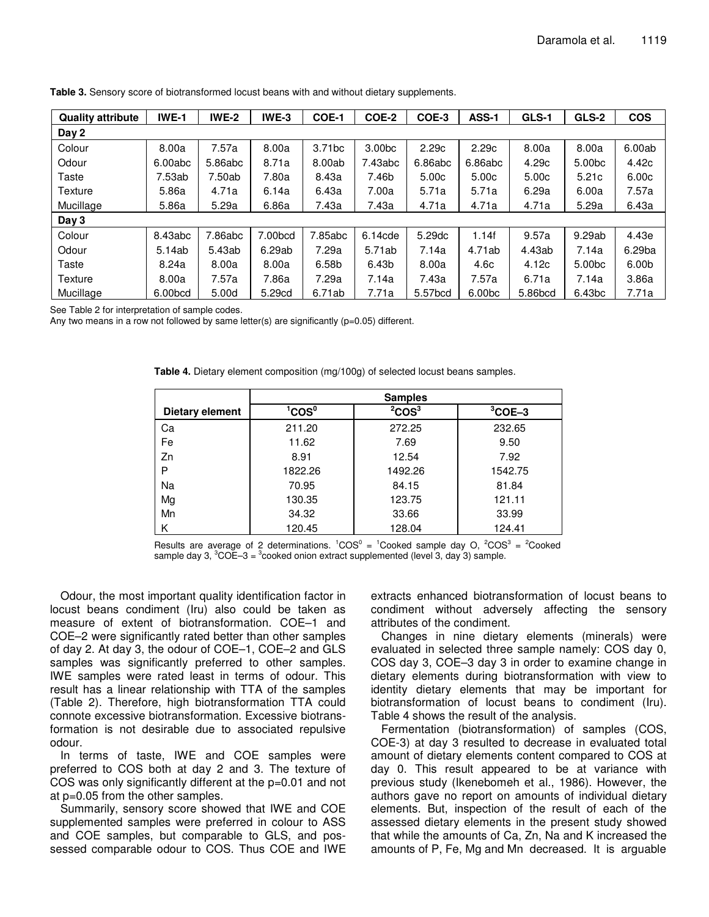| <b>Quality attribute</b> | IWE-1   | <b>IWE-2</b> | IWE-3   | COE-1              | COE-2              | COE-3   | ASS-1              | GLS-1             | GLS-2              | <b>COS</b> |
|--------------------------|---------|--------------|---------|--------------------|--------------------|---------|--------------------|-------------------|--------------------|------------|
| Day 2                    |         |              |         |                    |                    |         |                    |                   |                    |            |
| Colour                   | 8.00a   | 7.57a        | 8.00a   | 3.71 <sub>bc</sub> | 3.00 <sub>bc</sub> | 2.29c   | 2.29c              | 8.00a             | 8.00a              | 6.00ab     |
| Odour                    | 6.00abc | 5.86abc      | 8.71a   | 8.00ab             | 7.43abc            | 6.86abc | 6.86abc            | 4.29c             | 5.00 <sub>bc</sub> | 4.42c      |
| Taste                    | 7.53ab  | 7.50ab       | 7.80a   | 8.43a              | 7.46b              | 5.00c   | 5.00c              | 5.00 <sub>c</sub> | 5.21c              | 6.00c      |
| Texture                  | 5.86a   | 4.71a        | 6.14a   | 6.43a              | 7.00a              | 5.71a   | 5.71a              | 6.29a             | 6.00a              | 7.57a      |
| Mucillage                | 5.86a   | 5.29a        | 6.86a   | 7.43a              | 7.43a              | 4.71a   | 4.71a              | 4.71a             | 5.29a              | 6.43a      |
| Day 3                    |         |              |         |                    |                    |         |                    |                   |                    |            |
| Colour                   | 8.43abc | 7.86abc      | 7.00bcd | 7.85abc            | 6.14cde            | 5.29dc  | 1.14f              | 9.57a             | 9.29ab             | 4.43e      |
| Odour                    | 5.14ab  | 5.43ab       | 6.29ab  | 7.29a              | 5.71ab             | 7.14a   | 4.71ab             | 4.43ab            | 7.14a              | 6.29ba     |
| Taste                    | 8.24a   | 8.00a        | 8.00a   | 6.58b              | 6.43b              | 8.00a   | 4.6c               | 4.12c             | 5.00 <sub>bc</sub> | 6.00b      |
| Texture                  | 8.00a   | 7.57a        | 7.86a   | 7.29a              | 7.14a              | 7.43a   | 7.57a              | 6.71a             | 7.14a              | 3.86a      |
| Mucillage                | 6.00bcd | 5.00d        | 5.29cd  | 6.71ab             | 7.71a              | 5.57bcd | 6.00 <sub>bc</sub> | 5.86bcd           | 6.43 <sub>bc</sub> | 7.71a      |

**Table 3.** Sensory score of biotransformed locust beans with and without dietary supplements.

See Table 2 for interpretation of sample codes.

Any two means in a row not followed by same letter(s) are significantly ( $p=0.05$ ) different.

|                        | <b>Samples</b>                       |                       |           |  |  |  |  |  |
|------------------------|--------------------------------------|-----------------------|-----------|--|--|--|--|--|
| <b>Dietary element</b> | $^\mathsf{I}\mathsf{cos}^\mathsf{o}$ | ${}^{2}$ COS ${}^{3}$ | $3$ COE-3 |  |  |  |  |  |
| Ca                     | 211.20                               | 272.25                | 232.65    |  |  |  |  |  |
| Fe                     | 11.62                                | 7.69                  | 9.50      |  |  |  |  |  |
| Zn                     | 8.91                                 | 12.54                 | 7.92      |  |  |  |  |  |
| P                      | 1822.26                              | 1492.26               | 1542.75   |  |  |  |  |  |
| Na                     | 70.95                                | 84.15                 | 81.84     |  |  |  |  |  |
| Mg                     | 130.35                               | 123.75                | 121.11    |  |  |  |  |  |
| Mn                     | 34.32                                | 33.66                 | 33.99     |  |  |  |  |  |
| Κ                      | 120.45                               | 128.04                | 124.41    |  |  |  |  |  |

**Table 4.** Dietary element composition (mg/100g) of selected locust beans samples.

Results are average of 2 determinations.  ${}^{1}COS^{0} = {}^{1}Cooked$  sample day O,  ${}^{2}COS^{3} = {}^{2}Cooked$ sample day 3,  ${}^{3}$ COE-3 =  ${}^{3}$ cooked onion extract supplemented (level 3, day 3) sample.

Odour, the most important quality identification factor in locust beans condiment (Iru) also could be taken as measure of extent of biotransformation. COE–1 and COE–2 were significantly rated better than other samples of day 2. At day 3, the odour of COE–1, COE–2 and GLS samples was significantly preferred to other samples. IWE samples were rated least in terms of odour. This result has a linear relationship with TTA of the samples (Table 2). Therefore, high biotransformation TTA could connote excessive biotransformation. Excessive biotransformation is not desirable due to associated repulsive odour.

In terms of taste, IWE and COE samples were preferred to COS both at day 2 and 3. The texture of COS was only significantly different at the p=0.01 and not at p=0.05 from the other samples.

Summarily, sensory score showed that IWE and COE supplemented samples were preferred in colour to ASS and COE samples, but comparable to GLS, and possessed comparable odour to COS. Thus COE and IWE

extracts enhanced biotransformation of locust beans to condiment without adversely affecting the sensory attributes of the condiment.

Changes in nine dietary elements (minerals) were evaluated in selected three sample namely: COS day 0, COS day 3, COE–3 day 3 in order to examine change in dietary elements during biotransformation with view to identity dietary elements that may be important for biotransformation of locust beans to condiment (Iru). Table 4 shows the result of the analysis.

Fermentation (biotransformation) of samples (COS, COE-3) at day 3 resulted to decrease in evaluated total amount of dietary elements content compared to COS at day 0. This result appeared to be at variance with previous study (Ikenebomeh et al., 1986). However, the authors gave no report on amounts of individual dietary elements. But, inspection of the result of each of the assessed dietary elements in the present study showed that while the amounts of Ca, Zn, Na and K increased the amounts of P, Fe, Mg and Mn decreased. It is arguable